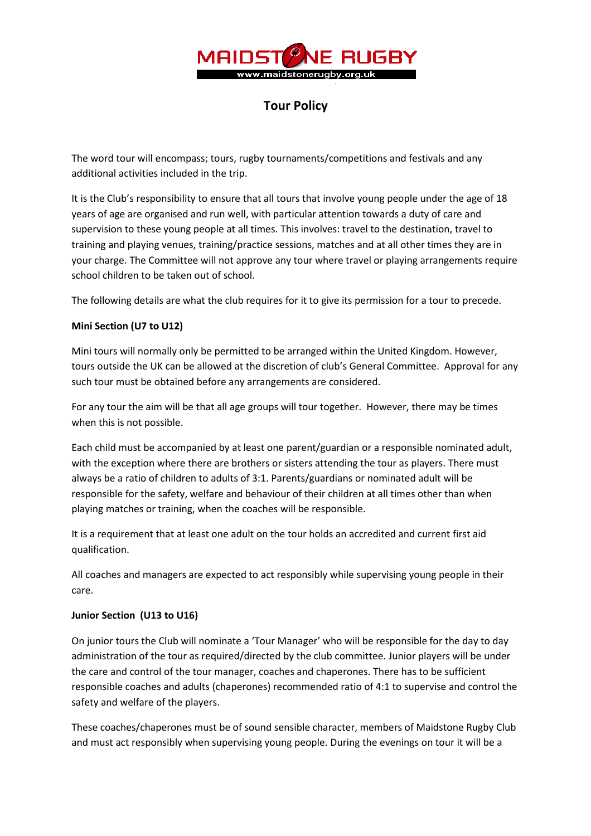

# Tour Policy

The word tour will encompass; tours, rugby tournaments/competitions and festivals and any additional activities included in the trip.

It is the Club's responsibility to ensure that all tours that involve young people under the age of 18 years of age are organised and run well, with particular attention towards a duty of care and supervision to these young people at all times. This involves: travel to the destination, travel to training and playing venues, training/practice sessions, matches and at all other times they are in your charge. The Committee will not approve any tour where travel or playing arrangements require school children to be taken out of school.

The following details are what the club requires for it to give its permission for a tour to precede.

## Mini Section (U7 to U12)

Mini tours will normally only be permitted to be arranged within the United Kingdom. However, tours outside the UK can be allowed at the discretion of club's General Committee. Approval for any such tour must be obtained before any arrangements are considered.

For any tour the aim will be that all age groups will tour together. However, there may be times when this is not possible.

Each child must be accompanied by at least one parent/guardian or a responsible nominated adult, with the exception where there are brothers or sisters attending the tour as players. There must always be a ratio of children to adults of 3:1. Parents/guardians or nominated adult will be responsible for the safety, welfare and behaviour of their children at all times other than when playing matches or training, when the coaches will be responsible.

It is a requirement that at least one adult on the tour holds an accredited and current first aid qualification.

All coaches and managers are expected to act responsibly while supervising young people in their care.

## Junior Section (U13 to U16)

On junior tours the Club will nominate a 'Tour Manager' who will be responsible for the day to day administration of the tour as required/directed by the club committee. Junior players will be under the care and control of the tour manager, coaches and chaperones. There has to be sufficient responsible coaches and adults (chaperones) recommended ratio of 4:1 to supervise and control the safety and welfare of the players.

These coaches/chaperones must be of sound sensible character, members of Maidstone Rugby Club and must act responsibly when supervising young people. During the evenings on tour it will be a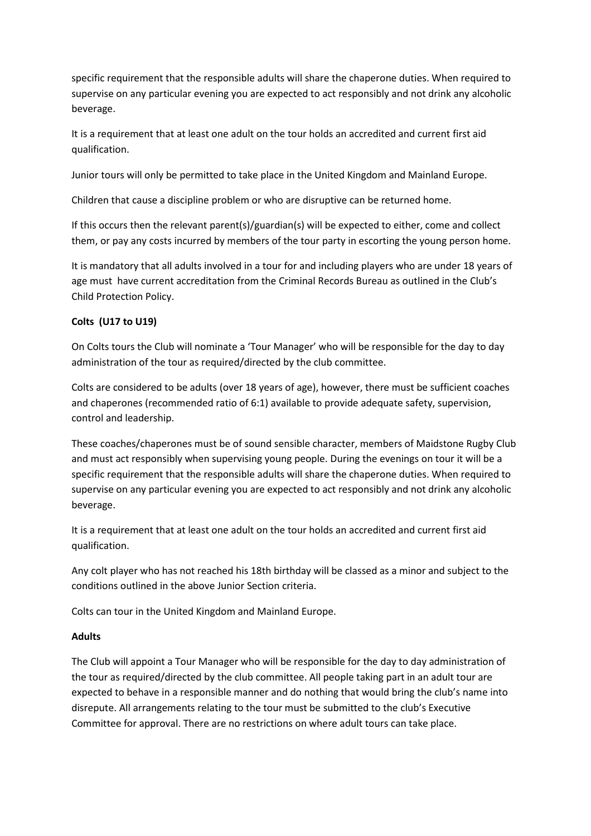specific requirement that the responsible adults will share the chaperone duties. When required to supervise on any particular evening you are expected to act responsibly and not drink any alcoholic beverage.

It is a requirement that at least one adult on the tour holds an accredited and current first aid qualification.

Junior tours will only be permitted to take place in the United Kingdom and Mainland Europe.

Children that cause a discipline problem or who are disruptive can be returned home.

If this occurs then the relevant parent(s)/guardian(s) will be expected to either, come and collect them, or pay any costs incurred by members of the tour party in escorting the young person home.

It is mandatory that all adults involved in a tour for and including players who are under 18 years of age must have current accreditation from the Criminal Records Bureau as outlined in the Club's Child Protection Policy.

# Colts (U17 to U19)

On Colts tours the Club will nominate a 'Tour Manager' who will be responsible for the day to day administration of the tour as required/directed by the club committee.

Colts are considered to be adults (over 18 years of age), however, there must be sufficient coaches and chaperones (recommended ratio of 6:1) available to provide adequate safety, supervision, control and leadership.

These coaches/chaperones must be of sound sensible character, members of Maidstone Rugby Club and must act responsibly when supervising young people. During the evenings on tour it will be a specific requirement that the responsible adults will share the chaperone duties. When required to supervise on any particular evening you are expected to act responsibly and not drink any alcoholic beverage.

It is a requirement that at least one adult on the tour holds an accredited and current first aid qualification.

Any colt player who has not reached his 18th birthday will be classed as a minor and subject to the conditions outlined in the above Junior Section criteria.

Colts can tour in the United Kingdom and Mainland Europe.

## Adults

The Club will appoint a Tour Manager who will be responsible for the day to day administration of the tour as required/directed by the club committee. All people taking part in an adult tour are expected to behave in a responsible manner and do nothing that would bring the club's name into disrepute. All arrangements relating to the tour must be submitted to the club's Executive Committee for approval. There are no restrictions on where adult tours can take place.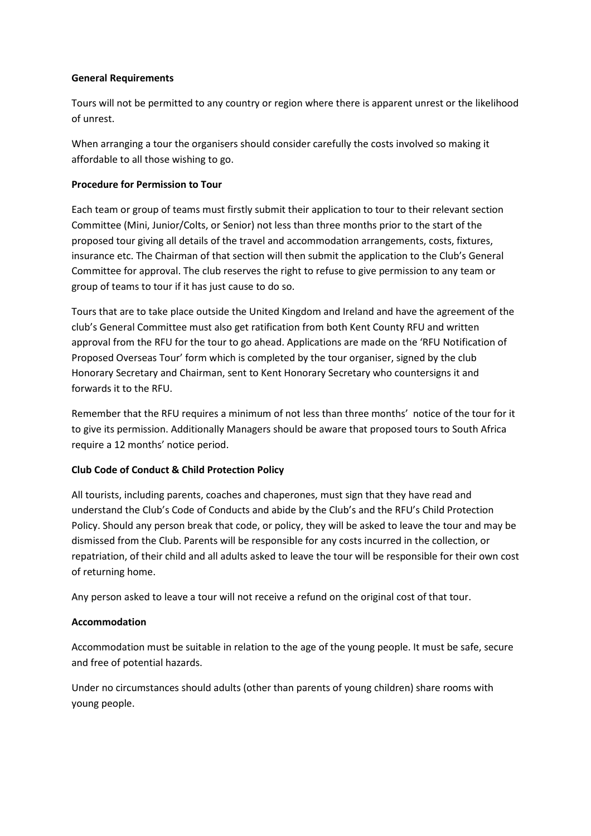#### General Requirements

Tours will not be permitted to any country or region where there is apparent unrest or the likelihood of unrest.

When arranging a tour the organisers should consider carefully the costs involved so making it affordable to all those wishing to go.

#### Procedure for Permission to Tour

Each team or group of teams must firstly submit their application to tour to their relevant section Committee (Mini, Junior/Colts, or Senior) not less than three months prior to the start of the proposed tour giving all details of the travel and accommodation arrangements, costs, fixtures, insurance etc. The Chairman of that section will then submit the application to the Club's General Committee for approval. The club reserves the right to refuse to give permission to any team or group of teams to tour if it has just cause to do so.

Tours that are to take place outside the United Kingdom and Ireland and have the agreement of the club's General Committee must also get ratification from both Kent County RFU and written approval from the RFU for the tour to go ahead. Applications are made on the 'RFU Notification of Proposed Overseas Tour' form which is completed by the tour organiser, signed by the club Honorary Secretary and Chairman, sent to Kent Honorary Secretary who countersigns it and forwards it to the RFU.

Remember that the RFU requires a minimum of not less than three months' notice of the tour for it to give its permission. Additionally Managers should be aware that proposed tours to South Africa require a 12 months' notice period.

## Club Code of Conduct & Child Protection Policy

All tourists, including parents, coaches and chaperones, must sign that they have read and understand the Club's Code of Conducts and abide by the Club's and the RFU's Child Protection Policy. Should any person break that code, or policy, they will be asked to leave the tour and may be dismissed from the Club. Parents will be responsible for any costs incurred in the collection, or repatriation, of their child and all adults asked to leave the tour will be responsible for their own cost of returning home.

Any person asked to leave a tour will not receive a refund on the original cost of that tour.

## Accommodation

Accommodation must be suitable in relation to the age of the young people. It must be safe, secure and free of potential hazards.

Under no circumstances should adults (other than parents of young children) share rooms with young people.